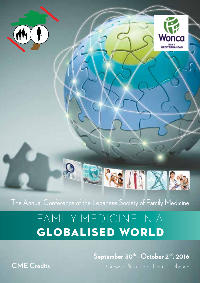

# FAMILY MEDICINE IN A GLOBALISED WORLD

**September 30th - October 2nd, 2016 CME Credits** Crowne Plaza Hotel, Beirut - Lebanon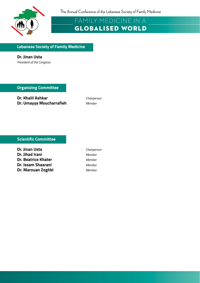

## FAMILY MEDICINE IN A GLOBALISED WORLD

#### **Lebanese Society of Family Medicine**

**Dr. Jinan Usta** *President of the Congress*

#### **Organizing Committee**

**Dr. Khalil Ashkar** *Chairperson* **Dr. Umayya Moucharrafieh** *Member*

#### **Scientific Committee**

**Dr. Jinan Usta** *Chairperson* **Dr. Jihad Irani** *Member* **Dr. Beatrice Khater** *Member* **Dr. Issam Shaarani** *Member* **Dr. Marouan Zoghbi** *Member*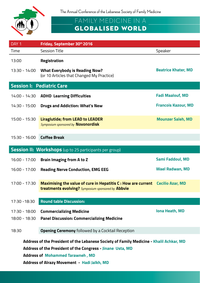

## FAMILY MEDICINE IN A GLOBALISED WORLD

| DAY <sub>1</sub>                                                                                                                                                                                 | Friday, September 30th 2016                                                                                         |                            |  |  |
|--------------------------------------------------------------------------------------------------------------------------------------------------------------------------------------------------|---------------------------------------------------------------------------------------------------------------------|----------------------------|--|--|
| Time                                                                                                                                                                                             | <b>Session Title</b>                                                                                                | Speaker                    |  |  |
| 13:00                                                                                                                                                                                            | Registration                                                                                                        |                            |  |  |
| 13:30 - 14:00                                                                                                                                                                                    | <b>What Everybody is Reading Now?</b><br>(or 10 Articles that Changed My Practice)                                  | <b>Beatrice Khater, MD</b> |  |  |
|                                                                                                                                                                                                  | <b>Session I: Pediatric Care</b>                                                                                    |                            |  |  |
| 14:00 - 14:30                                                                                                                                                                                    | <b>ADHD Learning Difficulties</b>                                                                                   | <b>Fadi Maalouf, MD</b>    |  |  |
| 14:30 - 15:00                                                                                                                                                                                    | <b>Drugs and Addiction: What's New</b>                                                                              | <b>Francois Kazour, MD</b> |  |  |
| 15:00 - 15:30                                                                                                                                                                                    | <b>Liraglutide; from LEAD to LEADER</b><br>Symposium sponsored by Novonordisk                                       | <b>Mounzer Saleh, MD</b>   |  |  |
| 15:30 - 16:00                                                                                                                                                                                    | <b>Coffee Break</b>                                                                                                 |                            |  |  |
|                                                                                                                                                                                                  | <b>Session II: Workshops</b> (up to 25 participants per group)                                                      |                            |  |  |
| 16:00 - 17:00                                                                                                                                                                                    | <b>Brain Imaging from A to Z</b>                                                                                    | Sami Faddoul, MD           |  |  |
| 16:00 - 17:00                                                                                                                                                                                    | <b>Reading Nerve Conduction, EMG EEG</b>                                                                            | <b>Wael Radwan, MD</b>     |  |  |
| 17:00 - 17:30                                                                                                                                                                                    | Maximising the value of cure in Hepatitis C : How are current<br>treatments evolving? Symposium sponsored by Abbvie | <b>Cecilio Azar, MD</b>    |  |  |
| 17:30 - 18:30                                                                                                                                                                                    | <b>Round table Discussion:</b>                                                                                      |                            |  |  |
|                                                                                                                                                                                                  |                                                                                                                     |                            |  |  |
| 17:30 - 18:00                                                                                                                                                                                    | <b>Commercializing Medicine</b>                                                                                     | Iona Heath, MD             |  |  |
| 18:00 - 18:30                                                                                                                                                                                    | <b>Panel Discussion: Commercializing Medicine</b>                                                                   |                            |  |  |
| 18:30                                                                                                                                                                                            | Opening Ceremony followed by a Cocktail Reception                                                                   |                            |  |  |
| Address of the President of the Lebanese Society of Family Medicine - Khalil Achkar, MD<br>Address of the President of the Congress - Jinane Usta, MD<br><b>Address of Mohammed Tarawneh, MD</b> |                                                                                                                     |                            |  |  |
| <b>Address of Alrazy Movement - Hadi Jalkh, MD</b>                                                                                                                                               |                                                                                                                     |                            |  |  |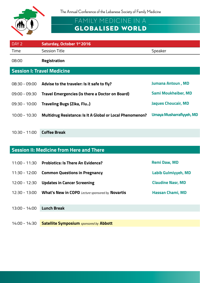

## FAMILY MEDICINE IN A GLOBALISED WORLD

| DAY <sub>2</sub>                  | Saturday, October 1st 2016                                       |                            |  |  |
|-----------------------------------|------------------------------------------------------------------|----------------------------|--|--|
| Time                              | Session Title                                                    | Speaker                    |  |  |
| 08:00                             | Registration                                                     |                            |  |  |
| <b>Session I: Travel Medicine</b> |                                                                  |                            |  |  |
|                                   |                                                                  |                            |  |  |
| $08:30 - 09:00$                   | Advise to the traveler: Is it safe to fly?                       | <b>Jumana Antoun, MD</b>   |  |  |
| $09:00 - 09:30$                   | Travel Emergencies (is there a Doctor on Board)                  | Sami Moukheiber, MD        |  |  |
| 09:30 - 10:00                     | Traveling Bugs (Zika, Flu)                                       | <b>Jaques Choucair, MD</b> |  |  |
| 10:00 - 10:30                     | <b>Multidrug Resistance: Is It A Global or Local Phenomenon?</b> | Umaya Musharrafiyyeh, MD   |  |  |
|                                   |                                                                  |                            |  |  |

#### 10:30 - 11:00 **Coffee Break**

#### **Session II: Medicine from Here and There**

|               | $11:00 - 11:30$ Probiotics: Is There An Evidence?              | <b>Remi Daw, MD</b>      |
|---------------|----------------------------------------------------------------|--------------------------|
|               | 11:30 - 12:00 Common Questions in Pregnancy                    | Labib Gulmiyyeh, MD      |
| 12:00 - 12:30 | Updates in Cancer Screening                                    | <b>Claudine Nasr, MD</b> |
| 12:30 - 13:00 | <b>What's New in COPD</b> Lecture sponsored by <b>Novartis</b> | Hassan Chami, MD         |
|               |                                                                |                          |
| 13:00 - 14:00 | <b>Lunch Break</b>                                             |                          |
|               |                                                                |                          |
| 14:00 - 14:30 | <b>Satellite Symposium</b> sponsored by Abbott                 |                          |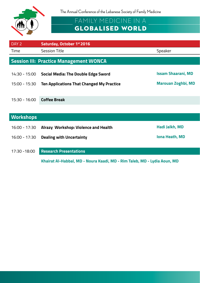

### FAMILY MEDICINE IN A GLOBALISED WORLD

| DAY <sub>2</sub> | Saturday, October 1st 2016                       |                           |
|------------------|--------------------------------------------------|---------------------------|
| Time             | <b>Session Title</b>                             | Speaker                   |
|                  |                                                  |                           |
|                  | <b>Session III: Practice Management WONCA</b>    |                           |
|                  |                                                  |                           |
| 14:30 - 15:00    | Social Media: The Double Edge Sword              | <b>Issam Shaarani, MD</b> |
| 15:00 - 15:30    | <b>Ten Applications That Changed My Practice</b> | <b>Marouan Zoghbi, MD</b> |
|                  |                                                  |                           |
| 15:30 - 16:00    | <b>Coffee Break</b>                              |                           |
|                  |                                                  |                           |
| <b>Workshops</b> |                                                  |                           |
| 16:00 - 17:30    | Alrazy Workshop: Violence and Health             | Hadi Jalkh, MD            |
| 16:00 - 17:30    | <b>Dealing with Uncertainty</b>                  | <b>Iona Heath, MD</b>     |
|                  |                                                  |                           |
| 17:30 - 18:00    | <b>Research Presentations</b>                    |                           |

**Khairat Al-Habbal, MD - Noura Kaadi, MD - Rim Taleb, MD - Lydia Aoun, MD**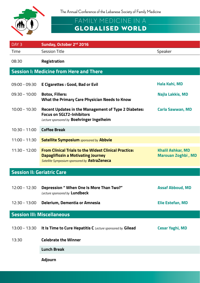

## FAMILY MEDICINE IN A GLOBALISED WORLD

| DAY <sub>3</sub>                  | Sunday, October 2 <sup>nd</sup> 2016                                                                                                                      |                                                       |  |  |
|-----------------------------------|-----------------------------------------------------------------------------------------------------------------------------------------------------------|-------------------------------------------------------|--|--|
| Time                              | <b>Session Title</b>                                                                                                                                      | Speaker                                               |  |  |
| 08:30                             | Registration                                                                                                                                              |                                                       |  |  |
|                                   | <b>Session I: Medicine from Here and There</b>                                                                                                            |                                                       |  |  |
| $09:00 - 09:30$                   | E Cigarettes : Good, Bad or Evil                                                                                                                          | Hala Kahi, MD                                         |  |  |
| 09:30 - 10:00                     | <b>Botox, Fillers:</b><br>What the Primary Care Physician Needs to Know                                                                                   | Najla Lakkis, MD                                      |  |  |
| 10:00 - 10:30                     | <b>Recent Updates in the Management of Type 2 Diabetes:</b><br><b>Focus on SGLT2-Inhibitors</b><br>Lecture sponsored by Boehringer Ingelheim              | Carla Sawwan, MD                                      |  |  |
| 10:30 - 11:00                     | <b>Coffee Break</b>                                                                                                                                       |                                                       |  |  |
| 11:00 - 11:30                     | <b>Satellite Symposium</b> sponsored by Abbvie                                                                                                            |                                                       |  |  |
| 11:30 - 12:00                     | <b>From Clinical Trials to the Widest Clinical Practice:</b><br><b>Dapagliflozin a Motivating Journey</b><br>Satellite Symposium sponsored by AstraZeneca | <b>Khalil Ashkar, MD</b><br><b>Marouan Zoghbi, MD</b> |  |  |
| <b>Session II: Geriatric Care</b> |                                                                                                                                                           |                                                       |  |  |
| 12:00 - 12:30                     | Depression " When One Is More Than Two?"<br>Lecture sponsored by Lundbeck                                                                                 | <b>Assaf Abboud, MD</b>                               |  |  |
| 12:30 - 13:00                     | Delerium, Dementia or Amnesia                                                                                                                             | Elie Estefan, MD                                      |  |  |
| <b>Session III: Miscellaneous</b> |                                                                                                                                                           |                                                       |  |  |
| 13:00 - 13:30                     | It Is Time to Cure Hepatitis C Lecture sponsored by Gilead                                                                                                | <b>Cesar Yaghi, MD</b>                                |  |  |
| 13:30                             | <b>Celebrate the Winner</b>                                                                                                                               |                                                       |  |  |
|                                   | <b>Lunch Break</b>                                                                                                                                        |                                                       |  |  |
|                                   | Adjourn                                                                                                                                                   |                                                       |  |  |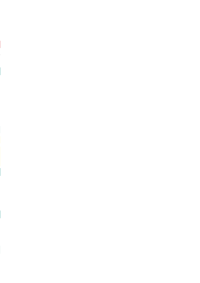